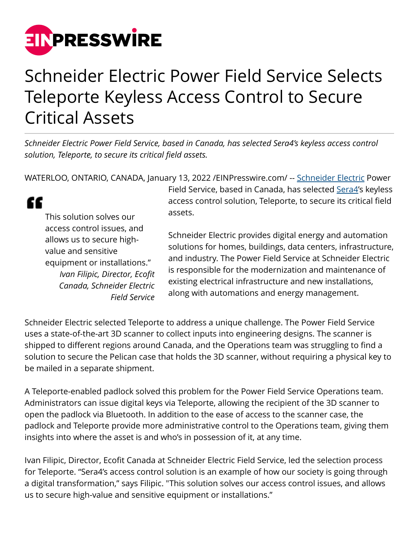

## Schneider Electric Power Field Service Selects Teleporte Keyless Access Control to Secure Critical Assets

*Schneider Electric Power Field Service, based in Canada, has selected Sera4's keyless access control solution, Teleporte, to secure its critical field assets.*

WATERLOO, ONTARIO, CANADA, January 13, 2022 /[EINPresswire.com/](http://www.einpresswire.com) -- [Schneider Electric](https://www.se.com/ca/en/) Power

" This solution solves our access control issues, and allows us to secure highvalue and sensitive equipment or installations." *Ivan Filipic, Director, Ecofit Canada, Schneider Electric Field Service* Field Service, based in Canada, has selected [Sera4'](https://www.sera4.com)s keyless access control solution, Teleporte, to secure its critical field assets.

Schneider Electric provides digital energy and automation solutions for homes, buildings, data centers, infrastructure, and industry. The Power Field Service at Schneider Electric is responsible for the modernization and maintenance of existing electrical infrastructure and new installations, along with automations and energy management.

Schneider Electric selected Teleporte to address a unique challenge. The Power Field Service uses a state-of-the-art 3D scanner to collect inputs into engineering designs. The scanner is shipped to different regions around Canada, and the Operations team was struggling to find a solution to secure the Pelican case that holds the 3D scanner, without requiring a physical key to be mailed in a separate shipment.

A Teleporte-enabled padlock solved this problem for the Power Field Service Operations team. Administrators can issue digital keys via Teleporte, allowing the recipient of the 3D scanner to open the padlock via Bluetooth. In addition to the ease of access to the scanner case, the padlock and Teleporte provide more administrative control to the Operations team, giving them insights into where the asset is and who's in possession of it, at any time.

Ivan Filipic, Director, Ecofit Canada at Schneider Electric Field Service, led the selection process for Teleporte. "Sera4's access control solution is an example of how our society is going through a digital transformation," says Filipic. "This solution solves our access control issues, and allows us to secure high-value and sensitive equipment or installations."